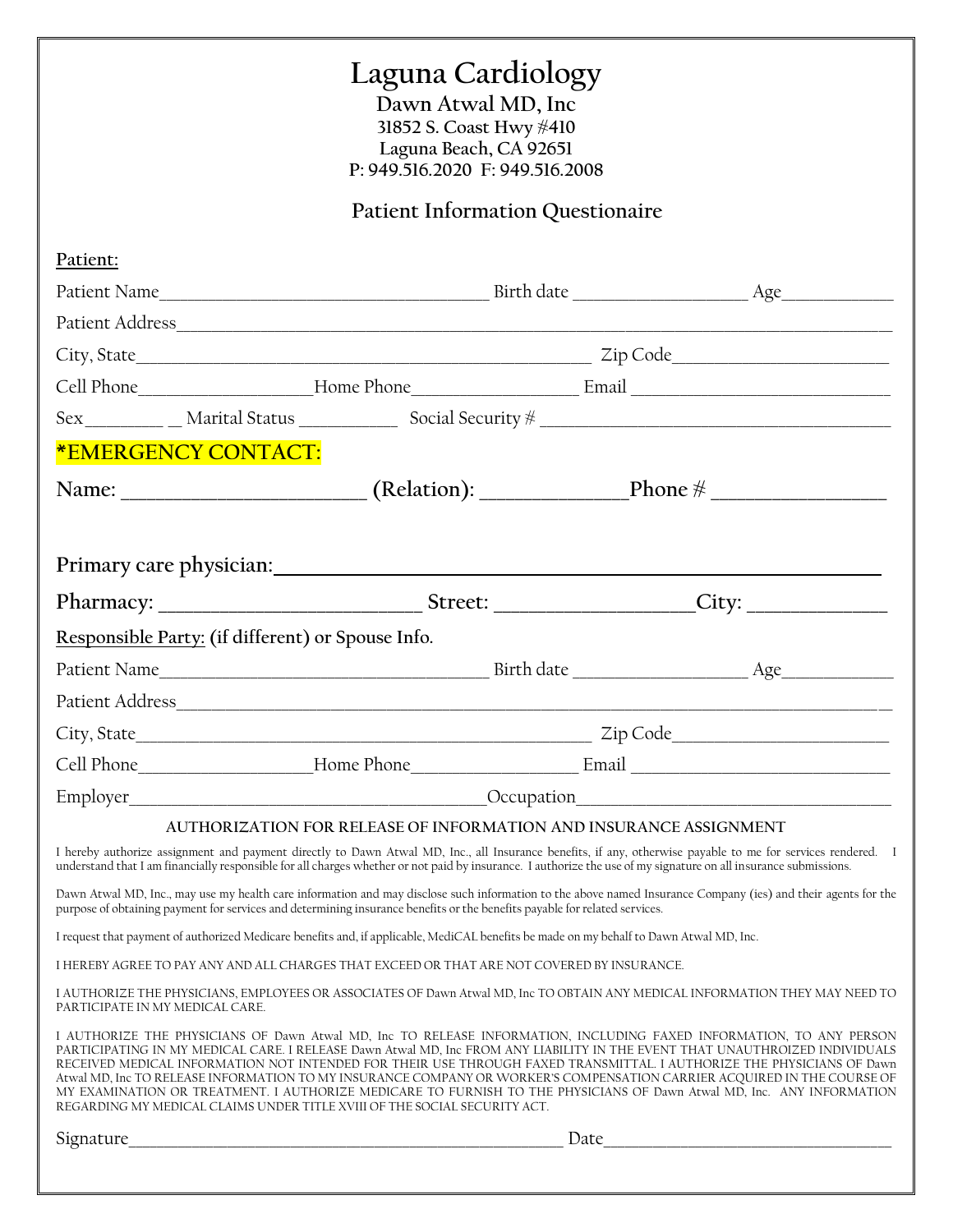### **Laguna Cardiology**

**Dawn Atwal MD, Inc 31852 S. Coast Hwy #410 Laguna Beach, CA 92651 P: 949.516.2020 F: 949.516.2008**

**Patient Information Questionaire**

| Patient:                        |                                                                                                                                                                                                                                                                                                                                                                                                                                                                                                                                                                                                                                                                                                               |      |  |  |  |  |
|---------------------------------|---------------------------------------------------------------------------------------------------------------------------------------------------------------------------------------------------------------------------------------------------------------------------------------------------------------------------------------------------------------------------------------------------------------------------------------------------------------------------------------------------------------------------------------------------------------------------------------------------------------------------------------------------------------------------------------------------------------|------|--|--|--|--|
|                                 |                                                                                                                                                                                                                                                                                                                                                                                                                                                                                                                                                                                                                                                                                                               |      |  |  |  |  |
|                                 |                                                                                                                                                                                                                                                                                                                                                                                                                                                                                                                                                                                                                                                                                                               |      |  |  |  |  |
|                                 |                                                                                                                                                                                                                                                                                                                                                                                                                                                                                                                                                                                                                                                                                                               |      |  |  |  |  |
|                                 |                                                                                                                                                                                                                                                                                                                                                                                                                                                                                                                                                                                                                                                                                                               |      |  |  |  |  |
|                                 |                                                                                                                                                                                                                                                                                                                                                                                                                                                                                                                                                                                                                                                                                                               |      |  |  |  |  |
|                                 | <b>*EMERGENCY CONTACT:</b>                                                                                                                                                                                                                                                                                                                                                                                                                                                                                                                                                                                                                                                                                    |      |  |  |  |  |
|                                 |                                                                                                                                                                                                                                                                                                                                                                                                                                                                                                                                                                                                                                                                                                               |      |  |  |  |  |
|                                 |                                                                                                                                                                                                                                                                                                                                                                                                                                                                                                                                                                                                                                                                                                               |      |  |  |  |  |
|                                 |                                                                                                                                                                                                                                                                                                                                                                                                                                                                                                                                                                                                                                                                                                               |      |  |  |  |  |
|                                 | Responsible Party: (if different) or Spouse Info.                                                                                                                                                                                                                                                                                                                                                                                                                                                                                                                                                                                                                                                             |      |  |  |  |  |
|                                 |                                                                                                                                                                                                                                                                                                                                                                                                                                                                                                                                                                                                                                                                                                               |      |  |  |  |  |
|                                 |                                                                                                                                                                                                                                                                                                                                                                                                                                                                                                                                                                                                                                                                                                               |      |  |  |  |  |
|                                 |                                                                                                                                                                                                                                                                                                                                                                                                                                                                                                                                                                                                                                                                                                               |      |  |  |  |  |
|                                 |                                                                                                                                                                                                                                                                                                                                                                                                                                                                                                                                                                                                                                                                                                               |      |  |  |  |  |
|                                 |                                                                                                                                                                                                                                                                                                                                                                                                                                                                                                                                                                                                                                                                                                               |      |  |  |  |  |
|                                 | AUTHORIZATION FOR RELEASE OF INFORMATION AND INSURANCE ASSIGNMENT<br>I hereby authorize assignment and payment directly to Dawn Atwal MD, Inc., all Insurance benefits, if any, otherwise payable to me for services rendered. I<br>understand that I am financially responsible for all charges whether or not paid by insurance. I authorize the use of my signature on all insurance submissions.                                                                                                                                                                                                                                                                                                          |      |  |  |  |  |
|                                 | Dawn Atwal MD, Inc., may use my health care information and may disclose such information to the above named Insurance Company (ies) and their agents for the<br>purpose of obtaining payment for services and determining insurance benefits or the benefits payable for related services.                                                                                                                                                                                                                                                                                                                                                                                                                   |      |  |  |  |  |
|                                 | I request that payment of authorized Medicare benefits and, if applicable, MediCAL benefits be made on my behalf to Dawn Atwal MD, Inc.                                                                                                                                                                                                                                                                                                                                                                                                                                                                                                                                                                       |      |  |  |  |  |
|                                 | I HEREBY AGREE TO PAY ANY AND ALL CHARGES THAT EXCEED OR THAT ARE NOT COVERED BY INSURANCE.                                                                                                                                                                                                                                                                                                                                                                                                                                                                                                                                                                                                                   |      |  |  |  |  |
| PARTICIPATE IN MY MEDICAL CARE. | I AUTHORIZE THE PHYSICIANS, EMPLOYEES OR ASSOCIATES OF Dawn Atwal MD, Inc TO OBTAIN ANY MEDICAL INFORMATION THEY MAY NEED TO                                                                                                                                                                                                                                                                                                                                                                                                                                                                                                                                                                                  |      |  |  |  |  |
|                                 | I AUTHORIZE THE PHYSICIANS OF Dawn Atwal MD, Inc TO RELEASE INFORMATION, INCLUDING FAXED INFORMATION, TO ANY PERSON<br>PARTICIPATING IN MY MEDICAL CARE. I RELEASE Dawn Atwal MD, Inc FROM ANY LIABILITY IN THE EVENT THAT UNAUTHROIZED INDIVIDUALS<br>RECEIVED MEDICAL INFORMATION NOT INTENDED FOR THEIR USE THROUGH FAXED TRANSMITTAL. I AUTHORIZE THE PHYSICIANS OF Dawn<br>Atwal MD, Inc TO RELEASE INFORMATION TO MY INSURANCE COMPANY OR WORKER'S COMPENSATION CARRIER ACQUIRED IN THE COURSE OF<br>MY EXAMINATION OR TREATMENT. I AUTHORIZE MEDICARE TO FURNISH TO THE PHYSICIANS OF Dawn Atwal MD, Inc. ANY INFORMATION<br>REGARDING MY MEDICAL CLAIMS UNDER TITLE XVIII OF THE SOCIAL SECURITY ACT. |      |  |  |  |  |
| Signature                       |                                                                                                                                                                                                                                                                                                                                                                                                                                                                                                                                                                                                                                                                                                               | Date |  |  |  |  |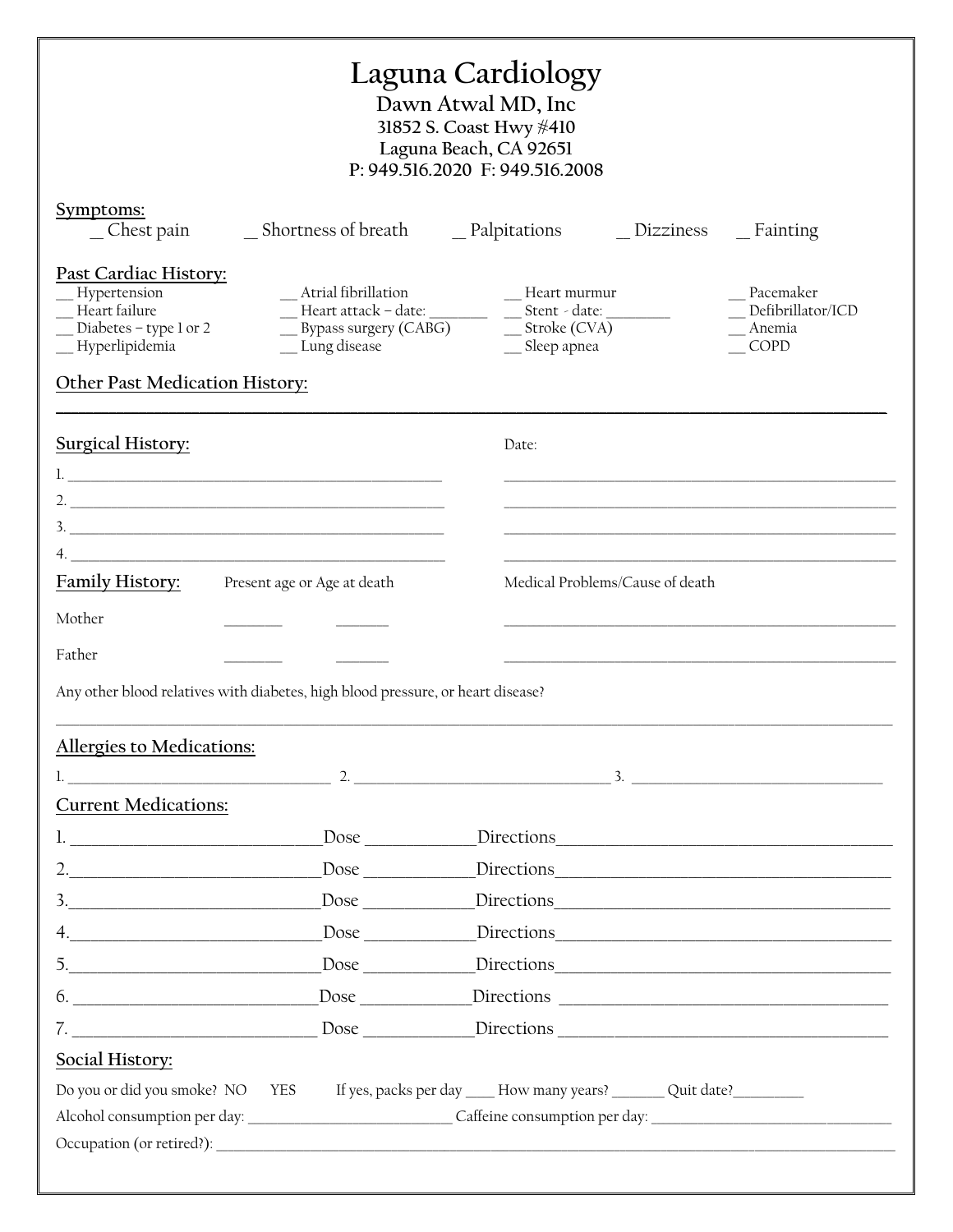| Laguna Cardiology<br>Dawn Atwal MD, Inc<br>31852 S. Coast Hwy #410<br>Laguna Beach, CA 92651<br>P: 949.516.2020 F: 949.516.2008              |                                                                                                                                      |                                 |                                  |                                                  |  |  |  |  |
|----------------------------------------------------------------------------------------------------------------------------------------------|--------------------------------------------------------------------------------------------------------------------------------------|---------------------------------|----------------------------------|--------------------------------------------------|--|--|--|--|
| Symptoms:<br>_ Chest pain                                                                                                                    |                                                                                                                                      |                                 | $\Box$ Dizziness $\Box$ Fainting |                                                  |  |  |  |  |
| Past Cardiac History:<br>Hypertension<br>Heart failure<br>Diabetes – type 1 or 2<br>_Hyperlipidemia<br><b>Other Past Medication History:</b> | _Atrial fibrillation<br>$\frac{\phantom{2}}{\phantom{2}}$ Heart attack – date: ________ _ ___ Stent - date: ______<br>_ Lung disease | -Heart murmur<br>__ Sleep apnea |                                  | Pacemaker<br>Defibrillator/ICD<br>Anemia<br>COPD |  |  |  |  |
| <b>Surgical History:</b>                                                                                                                     | Date:                                                                                                                                |                                 |                                  |                                                  |  |  |  |  |
| $\overline{4}$ .                                                                                                                             |                                                                                                                                      |                                 |                                  |                                                  |  |  |  |  |
| Family History:<br>Present age or Age at death                                                                                               |                                                                                                                                      | Medical Problems/Cause of death |                                  |                                                  |  |  |  |  |
| Mother<br>Father                                                                                                                             |                                                                                                                                      |                                 |                                  |                                                  |  |  |  |  |
| Any other blood relatives with diabetes, high blood pressure, or heart disease?                                                              |                                                                                                                                      |                                 |                                  |                                                  |  |  |  |  |
| <b>Allergies to Medications:</b>                                                                                                             |                                                                                                                                      |                                 |                                  |                                                  |  |  |  |  |
| 1. $2.$ 3.                                                                                                                                   |                                                                                                                                      |                                 |                                  |                                                  |  |  |  |  |
| <b>Current Medications:</b>                                                                                                                  |                                                                                                                                      |                                 |                                  |                                                  |  |  |  |  |
|                                                                                                                                              |                                                                                                                                      |                                 |                                  |                                                  |  |  |  |  |
|                                                                                                                                              | Dose Directions Directions                                                                                                           |                                 |                                  |                                                  |  |  |  |  |
| $\frac{3}{2}$                                                                                                                                |                                                                                                                                      |                                 |                                  |                                                  |  |  |  |  |
| 4.                                                                                                                                           |                                                                                                                                      |                                 |                                  |                                                  |  |  |  |  |
| $\begin{array}{c c c c c} \hline \text{5.} & \text{9.} & \text{1.} & \text{1.} \\ \hline \end{array}$                                        |                                                                                                                                      |                                 |                                  |                                                  |  |  |  |  |
| $6.$                                                                                                                                         |                                                                                                                                      |                                 |                                  |                                                  |  |  |  |  |
| 7.                                                                                                                                           |                                                                                                                                      |                                 |                                  |                                                  |  |  |  |  |
| Social History:                                                                                                                              |                                                                                                                                      |                                 |                                  |                                                  |  |  |  |  |
| Do you or did you smoke? NO YES If yes, packs per day ____How many years? ________ Quit date? ___________                                    |                                                                                                                                      |                                 |                                  |                                                  |  |  |  |  |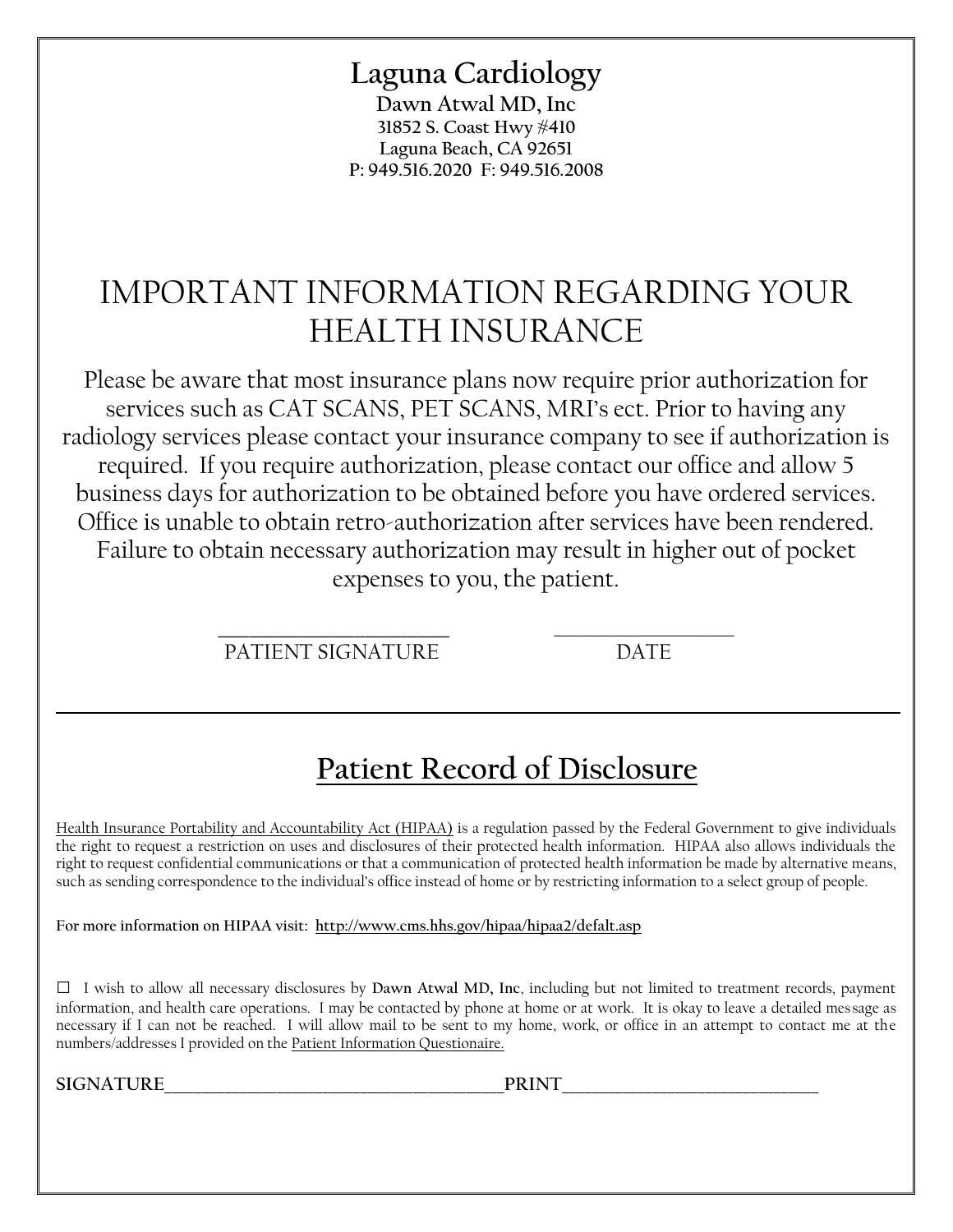## **Laguna Cardiology**

**Dawn Atwal MD, Inc 31852 S. Coast Hwy #410 Laguna Beach, CA 92651 P: 949.516.2020 F: 949.516.2008**

## IMPORTANT INFORMATION REGARDING YOUR HEALTH INSURANCE

Please be aware that most insurance plans now require prior authorization for services such as CAT SCANS, PET SCANS, MRI's ect. Prior to having any radiology services please contact your insurance company to see if authorization is required. If you require authorization, please contact our office and allow 5 business days for authorization to be obtained before you have ordered services. Office is unable to obtain retro-authorization after services have been rendered. Failure to obtain necessary authorization may result in higher out of pocket expenses to you, the patient.

> \_\_\_\_\_\_\_\_\_\_\_\_\_\_\_\_\_\_\_\_\_\_ \_\_\_\_\_\_\_\_\_\_\_\_\_\_\_\_\_\_\_\_\_\_ PATIENT SIGNATURE DATE

# **Patient Record of Disclosure**

Health Insurance Portability and Accountability Act (HIPAA) is a regulation passed by the Federal Government to give individuals the right to request a restriction on uses and disclosures of their protected health information. HIPAA also allows individuals the right to request confidential communications or that a communication of protected health information be made by alternative means, such as sending correspondence to the individual's office instead of home or by restricting information to a select group of people.

**\_\_\_\_\_\_\_\_\_\_\_\_\_\_\_\_\_\_\_\_\_\_\_\_\_\_\_\_\_\_\_\_\_\_\_\_\_\_\_\_\_\_\_\_\_\_\_\_\_\_\_\_\_\_\_\_\_\_\_\_\_\_\_\_\_\_\_**

**For more information on HIPAA visit:<http://www.cms.hhs.gov/hipaa/hipaa2/defalt.asp>**

**□** I wish to allow all necessary disclosures by **Dawn Atwal MD, Inc**, including but not limited to treatment records, payment information, and health care operations. I may be contacted by phone at home or at work. It is okay to leave a detailed message as necessary if I can not be reached. I will allow mail to be sent to my home, work, or office in an attempt to contact me at the numbers/addresses I provided on the Patient Information Questionaire.

**SIGNATURE\_\_\_\_\_\_\_\_\_\_\_\_\_\_\_\_\_\_\_\_\_\_\_\_\_\_\_\_\_\_\_\_\_\_\_\_\_\_\_\_\_\_\_\_\_PRINT\_\_\_\_\_\_\_\_\_\_\_\_\_\_\_\_\_\_\_\_\_\_\_\_\_\_\_\_\_\_\_\_\_\_**